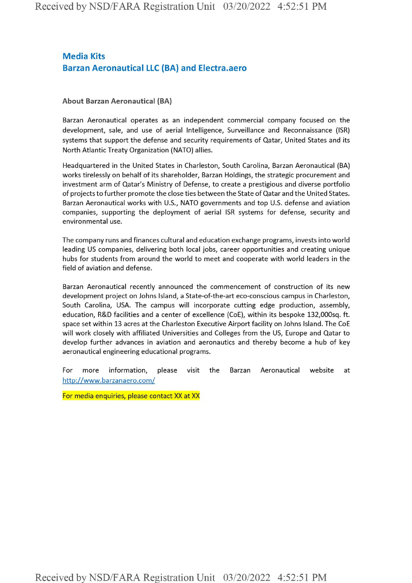## **Media Kits Barzan Aeronautical LLC (BA) and Electra.aero**

## **About Barzan Aeronautical (BA)**

Barzan Aeronautical operates as an independent commercial company focused on the development, sale, and use of aerial Intelligence, Surveillance and Reconnaissance (ISR) systems that support the defense and security requirements of Qatar, United States and its North Atlantic Treaty Organization (NATO) allies.

Headquartered in the United States in Charleston, South Carolina, Barzan Aeronautical (BA) works tirelessly on behalf of its shareholder, Barzan Holdings, the strategic procurement and investment arm of Qatar's Ministry of Defense, to create a prestigious and diverse portfolio of projects to further promote the close ties between the State of Qatar and the United States. Barzan Aeronautical works with U.S., NATO governments and top U.S. defense and aviation companies, supporting the deployment of aerial ISR systems for defense, security and environmental use.

The company runs and finances cultural and education exchange programs, invests into world leading US companies, delivering both local jobs, career opportunities and creating unique hubs for students from around the world to meet and cooperate with world leaders in the field of aviation and defense.

Barzan Aeronautical recently announced the commencement of construction of its new development project on Johns Island, a State-of-the-art eco-conscious campus in Charleston, South Carolina, USA. The campus will incorporate cutting edge production, assembly, education, R&D facilities and a center of excellence (CoE), within its bespoke 132,000sq. ft. space set within 13 acres at the Charleston Executive Airport facility on Johns Island. The CoE will work closely with affiliated Universities and Colleges from the US, Europe and Qatar to develop further advances in aviation and aeronautics and thereby become a hub of key aeronautical engineering educational programs.

For more information, please visit the Barzan Aeronautical website at http://www.barzanaero.com/

For media enquiries, please contact XX at XX